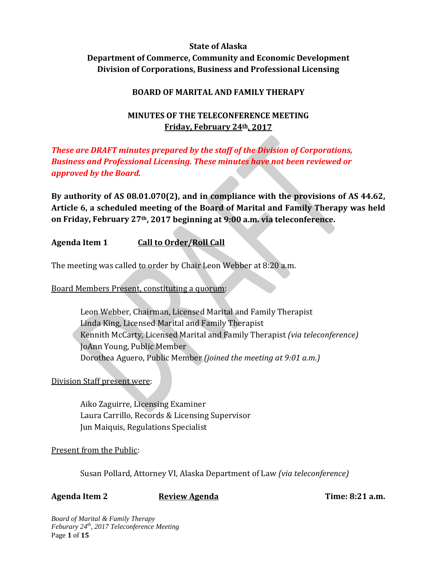# **State of Alaska Department of Commerce, Community and Economic Development Division of Corporations, Business and Professional Licensing**

## **BOARD OF MARITAL AND FAMILY THERAPY**

# **MINUTES OF THE TELECONFERENCE MEETING Friday, February 24th, 2017**

*These are DRAFT minutes prepared by the staff of the Division of Corporations, Business and Professional Licensing. These minutes have not been reviewed or approved by the Board.*

**By authority of AS 08.01.070(2), and in compliance with the provisions of AS 44.62, Article 6, a scheduled meeting of the Board of Marital and Family Therapy was held on Friday, February 27th, 2017 beginning at 9:00 a.m. via teleconference.**

## **Agenda Item 1 Call to Order/Roll Call**

The meeting was called to order by Chair Leon Webber at 8:20 a.m.

Board Members Present, constituting a quorum:

Leon Webber, Chairman, Licensed Marital and Family Therapist Linda King, Licensed Marital and Family Therapist Kennith McCarty, Licensed Marital and Family Therapist *(via teleconference)* JoAnn Young, Public Member Dorothea Aguero, Public Member *(joined the meeting at 9:01 a.m.)*

Division Staff present were:

Aiko Zaguirre, Licensing Examiner Laura Carrillo, Records & Licensing Supervisor Jun Maiquis, Regulations Specialist

Present from the Public:

Susan Pollard, Attorney VI, Alaska Department of Law *(via teleconference)*

Agenda Item 2 **Review Agenda Property Constructed Example 2 Time: 8:21 a.m.** 

*Board of Marital & Family Therapy Feburary 24th, 2017 Teleconference Meeting* Page **1** of **15**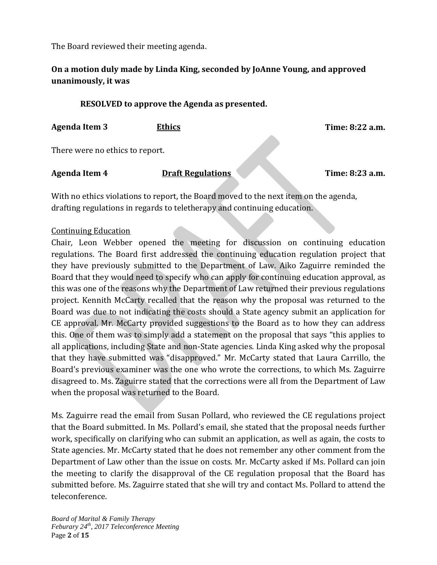The Board reviewed their meeting agenda.

# **On a motion duly made by Linda King, seconded by JoAnne Young, and approved unanimously, it was**

## **RESOLVED to approve the Agenda as presented.**

**Agenda Item 3 Ethics Time: 8:22 a.m.**

There were no ethics to report.

Agenda Item 4 **Draft Regulations** Time: 8:23 a.m.

With no ethics violations to report, the Board moved to the next item on the agenda, drafting regulations in regards to teletherapy and continuing education.

#### Continuing Education

Chair, Leon Webber opened the meeting for discussion on continuing education regulations. The Board first addressed the continuing education regulation project that they have previously submitted to the Department of Law. Aiko Zaguirre reminded the Board that they would need to specify who can apply for continuing education approval, as this was one of the reasons why the Department of Law returned their previous regulations project. Kennith McCarty recalled that the reason why the proposal was returned to the Board was due to not indicating the costs should a State agency submit an application for CE approval. Mr. McCarty provided suggestions to the Board as to how they can address this. One of them was to simply add a statement on the proposal that says "this applies to all applications, including State and non-State agencies. Linda King asked why the proposal that they have submitted was "disapproved." Mr. McCarty stated that Laura Carrillo, the Board's previous examiner was the one who wrote the corrections, to which Ms. Zaguirre disagreed to. Ms. Zaguirre stated that the corrections were all from the Department of Law when the proposal was returned to the Board.

Ms. Zaguirre read the email from Susan Pollard, who reviewed the CE regulations project that the Board submitted. In Ms. Pollard's email, she stated that the proposal needs further work, specifically on clarifying who can submit an application, as well as again, the costs to State agencies. Mr. McCarty stated that he does not remember any other comment from the Department of Law other than the issue on costs. Mr. McCarty asked if Ms. Pollard can join the meeting to clarify the disapproval of the CE regulation proposal that the Board has submitted before. Ms. Zaguirre stated that she will try and contact Ms. Pollard to attend the teleconference.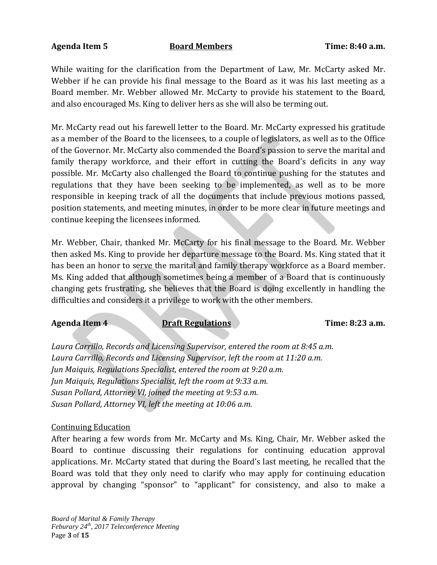#### **Agenda Item 5 Board Members Time: 8:40 a.m.**

While waiting for the clarification from the Department of Law, Mr. McCarty asked Mr. Webber if he can provide his final message to the Board as it was his last meeting as a Board member. Mr. Webber allowed Mr. McCarty to provide his statement to the Board, and also encouraged Ms. King to deliver hers as she will also be terming out.

Mr. McCarty read out his farewell letter to the Board. Mr. McCarty expressed his gratitude as a member of the Board to the licensees, to a couple of legislators, as well as to the Office of the Governor. Mr. McCarty also commended the Board's passion to serve the marital and family therapy workforce, and their effort in cutting the Board's deficits in any way possible. Mr. McCarty also challenged the Board to continue pushing for the statutes and regulations that they have been seeking to be implemented, as well as to be more responsible in keeping track of all the documents that include previous motions passed, position statements, and meeting minutes, in order to be more clear in future meetings and continue keeping the licensees informed.

Mr. Webber, Chair, thanked Mr. McCarty for his final message to the Board. Mr. Webber then asked Ms. King to provide her departure message to the Board. Ms. King stated that it has been an honor to serve the marital and family therapy workforce as a Board member. Ms. King added that although sometimes being a member of a Board that is continuously changing gets frustrating, she believes that the Board is doing excellently in handling the difficulties and considers it a privilege to work with the other members.

## Agenda Item 4 **Draft Regulations** Time: 8:23 a.m.

*Laura Carrillo, Records and Licensing Supervisor, entered the room at 8:45 a.m. Laura Carrillo, Records and Licensing Supervisor, left the room at 11:20 a.m. Jun Maiquis, Regulations Specialist, entered the room at 9:20 a.m. Jun Maiquis, Regulations Specialist, left the room at 9:33 a.m. Susan Pollard, Attorney VI, joined the meeting at 9:53 a.m. Susan Pollard, Attorney VI, left the meeting at 10:06 a.m.*

## Continuing Education

After hearing a few words from Mr. McCarty and Ms. King, Chair, Mr. Webber asked the Board to continue discussing their regulations for continuing education approval applications. Mr. McCarty stated that during the Board's last meeting, he recalled that the Board was told that they only need to clarify who may apply for continuing education approval by changing "sponsor" to "applicant" for consistency, and also to make a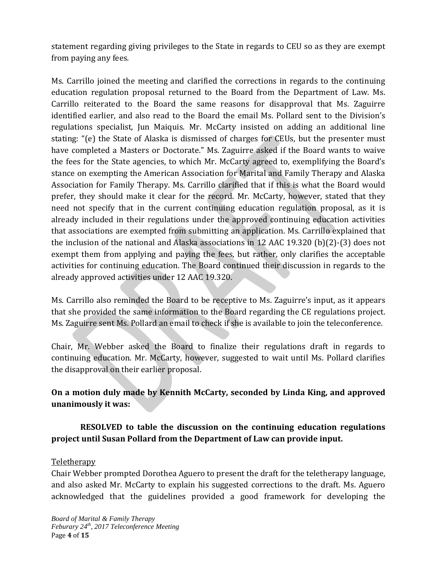statement regarding giving privileges to the State in regards to CEU so as they are exempt from paying any fees.

Ms. Carrillo joined the meeting and clarified the corrections in regards to the continuing education regulation proposal returned to the Board from the Department of Law. Ms. Carrillo reiterated to the Board the same reasons for disapproval that Ms. Zaguirre identified earlier, and also read to the Board the email Ms. Pollard sent to the Division's regulations specialist, Jun Maiquis. Mr. McCarty insisted on adding an additional line stating: "(e) the State of Alaska is dismissed of charges for CEUs, but the presenter must have completed a Masters or Doctorate." Ms. Zaguirre asked if the Board wants to waive the fees for the State agencies, to which Mr. McCarty agreed to, exemplifying the Board's stance on exempting the American Association for Marital and Family Therapy and Alaska Association for Family Therapy. Ms. Carrillo clarified that if this is what the Board would prefer, they should make it clear for the record. Mr. McCarty, however, stated that they need not specify that in the current continuing education regulation proposal, as it is already included in their regulations under the approved continuing education activities that associations are exempted from submitting an application. Ms. Carrillo explained that the inclusion of the national and Alaska associations in 12 AAC 19.320 (b)(2)-(3) does not exempt them from applying and paying the fees, but rather, only clarifies the acceptable activities for continuing education. The Board continued their discussion in regards to the already approved activities under 12 AAC 19.320.

Ms. Carrillo also reminded the Board to be receptive to Ms. Zaguirre's input, as it appears that she provided the same information to the Board regarding the CE regulations project. Ms. Zaguirre sent Ms. Pollard an email to check if she is available to join the teleconference.

Chair, Mr. Webber asked the Board to finalize their regulations draft in regards to continuing education. Mr. McCarty, however, suggested to wait until Ms. Pollard clarifies the disapproval on their earlier proposal.

# **On a motion duly made by Kennith McCarty, seconded by Linda King, and approved unanimously it was:**

# **RESOLVED to table the discussion on the continuing education regulations project until Susan Pollard from the Department of Law can provide input.**

## Teletherapy

Chair Webber prompted Dorothea Aguero to present the draft for the teletherapy language, and also asked Mr. McCarty to explain his suggested corrections to the draft. Ms. Aguero acknowledged that the guidelines provided a good framework for developing the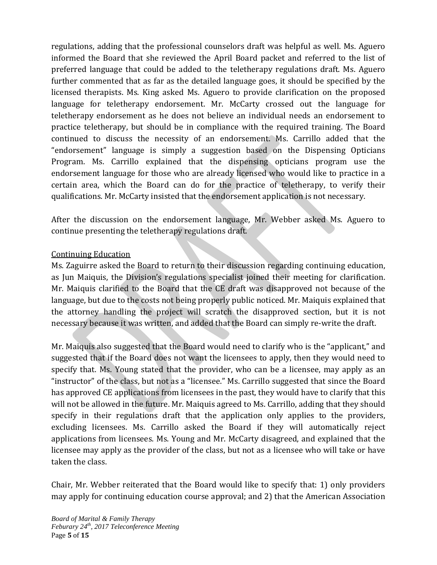regulations, adding that the professional counselors draft was helpful as well. Ms. Aguero informed the Board that she reviewed the April Board packet and referred to the list of preferred language that could be added to the teletherapy regulations draft. Ms. Aguero further commented that as far as the detailed language goes, it should be specified by the licensed therapists. Ms. King asked Ms. Aguero to provide clarification on the proposed language for teletherapy endorsement. Mr. McCarty crossed out the language for teletherapy endorsement as he does not believe an individual needs an endorsement to practice teletherapy, but should be in compliance with the required training. The Board continued to discuss the necessity of an endorsement. Ms. Carrillo added that the "endorsement" language is simply a suggestion based on the Dispensing Opticians Program. Ms. Carrillo explained that the dispensing opticians program use the endorsement language for those who are already licensed who would like to practice in a certain area, which the Board can do for the practice of teletherapy, to verify their qualifications. Mr. McCarty insisted that the endorsement application is not necessary.

After the discussion on the endorsement language, Mr. Webber asked Ms. Aguero to continue presenting the teletherapy regulations draft.

## Continuing Education

Ms. Zaguirre asked the Board to return to their discussion regarding continuing education, as Jun Maiquis, the Division's regulations specialist joined their meeting for clarification. Mr. Maiquis clarified to the Board that the CE draft was disapproved not because of the language, but due to the costs not being properly public noticed. Mr. Maiquis explained that the attorney handling the project will scratch the disapproved section, but it is not necessary because it was written, and added that the Board can simply re-write the draft.

Mr. Maiquis also suggested that the Board would need to clarify who is the "applicant," and suggested that if the Board does not want the licensees to apply, then they would need to specify that. Ms. Young stated that the provider, who can be a licensee, may apply as an "instructor" of the class, but not as a "licensee." Ms. Carrillo suggested that since the Board has approved CE applications from licensees in the past, they would have to clarify that this will not be allowed in the future. Mr. Maiquis agreed to Ms. Carrillo, adding that they should specify in their regulations draft that the application only applies to the providers, excluding licensees. Ms. Carrillo asked the Board if they will automatically reject applications from licensees. Ms. Young and Mr. McCarty disagreed, and explained that the licensee may apply as the provider of the class, but not as a licensee who will take or have taken the class.

Chair, Mr. Webber reiterated that the Board would like to specify that: 1) only providers may apply for continuing education course approval; and 2) that the American Association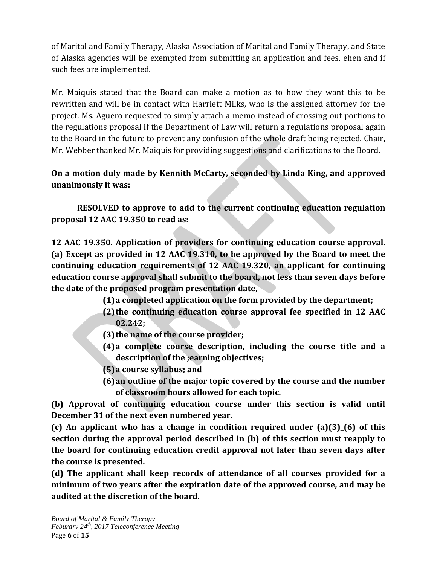of Marital and Family Therapy, Alaska Association of Marital and Family Therapy, and State of Alaska agencies will be exempted from submitting an application and fees, ehen and if such fees are implemented.

Mr. Maiquis stated that the Board can make a motion as to how they want this to be rewritten and will be in contact with Harriett Milks, who is the assigned attorney for the project. Ms. Aguero requested to simply attach a memo instead of crossing-out portions to the regulations proposal if the Department of Law will return a regulations proposal again to the Board in the future to prevent any confusion of the whole draft being rejected. Chair, Mr. Webber thanked Mr. Maiquis for providing suggestions and clarifications to the Board.

# **On a motion duly made by Kennith McCarty, seconded by Linda King, and approved unanimously it was:**

**RESOLVED to approve to add to the current continuing education regulation proposal 12 AAC 19.350 to read as:** 

**12 AAC 19.350. Application of providers for continuing education course approval. (a) Except as provided in 12 AAC 19.310, to be approved by the Board to meet the continuing education requirements of 12 AAC 19.320, an applicant for continuing education course approval shall submit to the board, not less than seven days before the date of the proposed program presentation date,**

**(1)a completed application on the form provided by the department;**

- **(2)the continuing education course approval fee specified in 12 AAC 02.242;**
- **(3)the name of the course provider;**
- **(4)a complete course description, including the course title and a description of the ;earning objectives;**
- **(5)a course syllabus; and**
- **(6)an outline of the major topic covered by the course and the number of classroom hours allowed for each topic.**

**(b) Approval of continuing education course under this section is valid until December 31 of the next even numbered year.**

**(c) An applicant who has a change in condition required under (a)(3)\_(6) of this section during the approval period described in (b) of this section must reapply to the board for continuing education credit approval not later than seven days after the course is presented.**

**(d) The applicant shall keep records of attendance of all courses provided for a minimum of two years after the expiration date of the approved course, and may be audited at the discretion of the board.**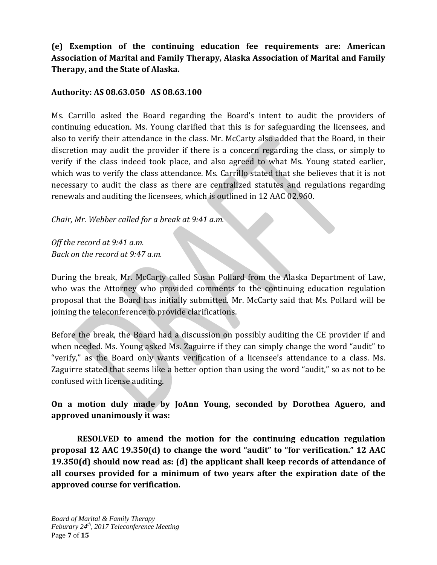# **(e) Exemption of the continuing education fee requirements are: American Association of Marital and Family Therapy, Alaska Association of Marital and Family Therapy, and the State of Alaska.**

## **Authority: AS 08.63.050 AS 08.63.100**

Ms. Carrillo asked the Board regarding the Board's intent to audit the providers of continuing education. Ms. Young clarified that this is for safeguarding the licensees, and also to verify their attendance in the class. Mr. McCarty also added that the Board, in their discretion may audit the provider if there is a concern regarding the class, or simply to verify if the class indeed took place, and also agreed to what Ms. Young stated earlier, which was to verify the class attendance. Ms. Carrillo stated that she believes that it is not necessary to audit the class as there are centralized statutes and regulations regarding renewals and auditing the licensees, which is outlined in 12 AAC 02.960.

## *Chair, Mr. Webber called for a break at 9:41 a.m.*

*Off the record at 9:41 a.m. Back on the record at 9:47 a.m.*

During the break, Mr. McCarty called Susan Pollard from the Alaska Department of Law, who was the Attorney who provided comments to the continuing education regulation proposal that the Board has initially submitted. Mr. McCarty said that Ms. Pollard will be joining the teleconference to provide clarifications.

Before the break, the Board had a discussion on possibly auditing the CE provider if and when needed. Ms. Young asked Ms. Zaguirre if they can simply change the word "audit" to "verify," as the Board only wants verification of a licensee's attendance to a class. Ms. Zaguirre stated that seems like a better option than using the word "audit," so as not to be confused with license auditing.

# **On a motion duly made by JoAnn Young, seconded by Dorothea Aguero, and approved unanimously it was:**

**RESOLVED to amend the motion for the continuing education regulation proposal 12 AAC 19.350(d) to change the word "audit" to "for verification." 12 AAC 19.350(d) should now read as: (d) the applicant shall keep records of attendance of all courses provided for a minimum of two years after the expiration date of the approved course for verification.**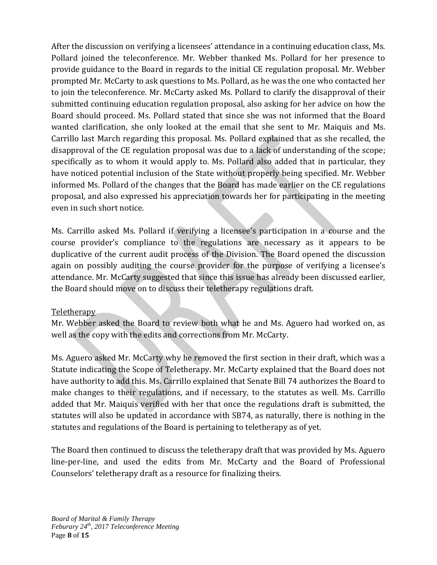After the discussion on verifying a licensees' attendance in a continuing education class, Ms. Pollard joined the teleconference. Mr. Webber thanked Ms. Pollard for her presence to provide guidance to the Board in regards to the initial CE regulation proposal. Mr. Webber prompted Mr. McCarty to ask questions to Ms. Pollard, as he was the one who contacted her to join the teleconference. Mr. McCarty asked Ms. Pollard to clarify the disapproval of their submitted continuing education regulation proposal, also asking for her advice on how the Board should proceed. Ms. Pollard stated that since she was not informed that the Board wanted clarification, she only looked at the email that she sent to Mr. Maiquis and Ms. Carrillo last March regarding this proposal. Ms. Pollard explained that as she recalled, the disapproval of the CE regulation proposal was due to a lack of understanding of the scope; specifically as to whom it would apply to. Ms. Pollard also added that in particular, they have noticed potential inclusion of the State without properly being specified. Mr. Webber informed Ms. Pollard of the changes that the Board has made earlier on the CE regulations proposal, and also expressed his appreciation towards her for participating in the meeting even in such short notice.

Ms. Carrillo asked Ms. Pollard if verifying a licensee's participation in a course and the course provider's compliance to the regulations are necessary as it appears to be duplicative of the current audit process of the Division. The Board opened the discussion again on possibly auditing the course provider for the purpose of verifying a licensee's attendance. Mr. McCarty suggested that since this issue has already been discussed earlier, the Board should move on to discuss their teletherapy regulations draft.

## Teletherapy

Mr. Webber asked the Board to review both what he and Ms. Aguero had worked on, as well as the copy with the edits and corrections from Mr. McCarty.

Ms. Aguero asked Mr. McCarty why he removed the first section in their draft, which was a Statute indicating the Scope of Teletherapy. Mr. McCarty explained that the Board does not have authority to add this. Ms. Carrillo explained that Senate Bill 74 authorizes the Board to make changes to their regulations, and if necessary, to the statutes as well. Ms. Carrillo added that Mr. Maiquis verified with her that once the regulations draft is submitted, the statutes will also be updated in accordance with SB74, as naturally, there is nothing in the statutes and regulations of the Board is pertaining to teletherapy as of yet.

The Board then continued to discuss the teletherapy draft that was provided by Ms. Aguero line-per-line, and used the edits from Mr. McCarty and the Board of Professional Counselors' teletherapy draft as a resource for finalizing theirs.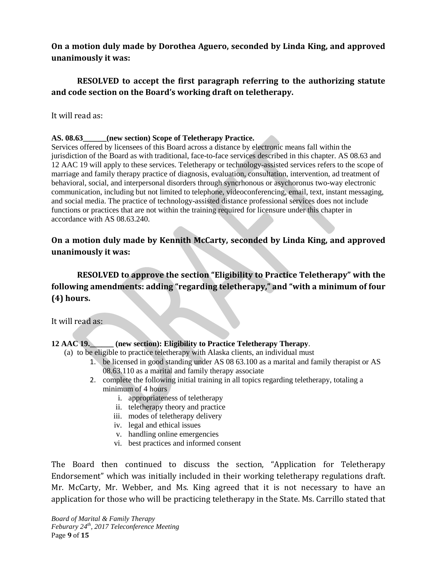**On a motion duly made by Dorothea Aguero, seconded by Linda King, and approved unanimously it was:**

# **RESOLVED to accept the first paragraph referring to the authorizing statute and code section on the Board's working draft on teletherapy.**

#### It will read as:

#### **AS. 08.63\_\_\_\_\_\_(new section) Scope of Teletherapy Practice.**

Services offered by licensees of this Board across a distance by electronic means fall within the jurisdiction of the Board as with traditional, face-to-face services described in this chapter. AS 08.63 and 12 AAC 19 will apply to these services. Teletherapy or technology-assisted services refers to the scope of marriage and family therapy practice of diagnosis, evaluation, consultation, intervention, ad treatment of behavioral, social, and interpersonal disorders through syncrhonous or asychoronus two-way electronic communication, including but not limited to telephone, videoconferencing, email, text, instant messaging, and social media. The practice of technology-assisted distance professional services does not include functions or practices that are not within the training required for licensure under this chapter in accordance with AS 08.63.240.

## **On a motion duly made by Kennith McCarty, seconded by Linda King, and approved unanimously it was:**

**RESOLVED to approve the section "Eligibility to Practice Teletherapy" with the following amendments: adding "regarding teletherapy," and "with a minimum of four (4) hours.** 

It will read as:

#### **12 AAC 19.\_\_\_\_\_\_ (new section): Eligibility to Practice Teletherapy Therapy**.

- (a) to be eligible to practice teletherapy with Alaska clients, an individual must
	- 1. be licensed in good standing under AS 08 63.100 as a marital and family therapist or AS 08.63.110 as a marital and family therapy associate
	- 2. complete the following initial training in all topics regarding teletherapy, totaling a minimum of 4 hours
		- i. appropriateness of teletherapy
		- ii. teletherapy theory and practice
		- iii. modes of teletherapy delivery
		- iv. legal and ethical issues
		- v. handling online emergencies
		- vi. best practices and informed consent

The Board then continued to discuss the section, "Application for Teletherapy Endorsement" which was initially included in their working teletherapy regulations draft. Mr. McCarty, Mr. Webber, and Ms. King agreed that it is not necessary to have an application for those who will be practicing teletherapy in the State. Ms. Carrillo stated that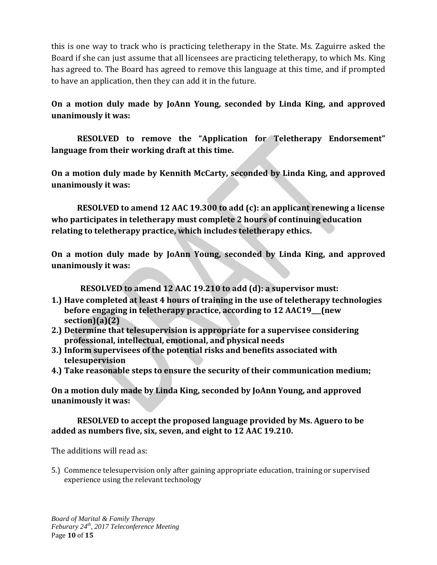this is one way to track who is practicing teletherapy in the State. Ms. Zaguirre asked the Board if she can just assume that all licensees are practicing teletherapy, to which Ms. King has agreed to. The Board has agreed to remove this language at this time, and if prompted to have an application, then they can add it in the future.

**On a motion duly made by JoAnn Young, seconded by Linda King, and approved unanimously it was:**

**RESOLVED to remove the "Application for Teletherapy Endorsement" language from their working draft at this time.**

**On a motion duly made by Kennith McCarty, seconded by Linda King, and approved unanimously it was:**

**RESOLVED to amend 12 AAC 19.300 to add (c): an applicant renewing a license who participates in teletherapy must complete 2 hours of continuing education relating to teletherapy practice, which includes teletherapy ethics.** 

**On a motion duly made by JoAnn Young, seconded by Linda King, and approved unanimously it was:**

**RESOLVED to amend 12 AAC 19.210 to add (d): a supervisor must:**

- **1.) Have completed at least 4 hours of training in the use of teletherapy technologies before engaging in teletherapy practice, according to 12 AAC19\_\_\_(new section)(a)(2)**
- **2.) Determine that telesupervision is appropriate for a supervisee considering professional, intellectual, emotional, and physical needs**
- **3.) Inform supervisees of the potential risks and benefits associated with telesupervision**
- **4.) Take reasonable steps to ensure the security of their communication medium;**

**On a motion duly made by Linda King, seconded by JoAnn Young, and approved unanimously it was:** 

## **RESOLVED to accept the proposed language provided by Ms. Aguero to be added as numbers five, six, seven, and eight to 12 AAC 19.210.**

The additions will read as:

5.) Commence telesupervision only after gaining appropriate education, training or supervised experience using the relevant technology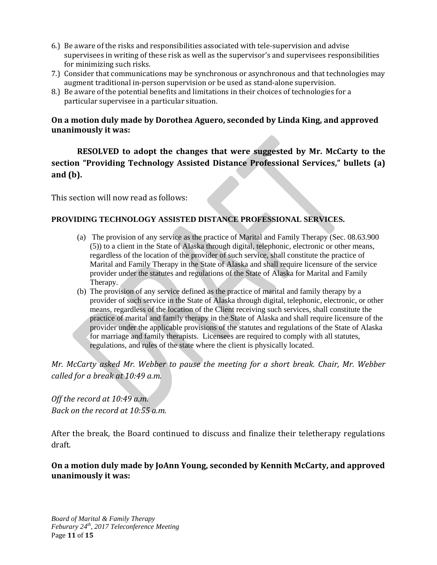- 6.) Be aware of the risks and responsibilities associated with tele-supervision and advise supervisees in writing of these risk as well as the supervisor's and supervisees responsibilities for minimizing such risks.
- 7.) Consider that communications may be synchronous or asynchronous and that technologies may augment traditional in-person supervision or be used as stand-alone supervision.
- 8.) Be aware of the potential benefits and limitations in their choices of technologies for a particular supervisee in a particular situation.

## **On a motion duly made by Dorothea Aguero, seconded by Linda King, and approved unanimously it was:**

**RESOLVED to adopt the changes that were suggested by Mr. McCarty to the section "Providing Technology Assisted Distance Professional Services," bullets (a) and (b).**

This section will now read as follows:

## **PROVIDING TECHNOLOGY ASSISTED DISTANCE PROFESSIONAL SERVICES.**

- (a) The provision of any service as the practice of Marital and Family Therapy (Sec. 08.63.900 (5)) to a client in the State of Alaska through digital, telephonic, electronic or other means, regardless of the location of the provider of such service, shall constitute the practice of Marital and Family Therapy in the State of Alaska and shall require licensure of the service provider under the statutes and regulations of the State of Alaska for Marital and Family Therapy.
- (b) The provision of any service defined as the practice of marital and family therapy by a provider of such service in the State of Alaska through digital, telephonic, electronic, or other means, regardless of the location of the Client receiving such services, shall constitute the practice of marital and family therapy in the State of Alaska and shall require licensure of the provider under the applicable provisions of the statutes and regulations of the State of Alaska for marriage and family therapists. Licensees are required to comply with all statutes, regulations, and rules of the state where the client is physically located.

*Mr. McCarty asked Mr. Webber to pause the meeting for a short break. Chair, Mr. Webber called for a break at 10:49 a.m.*

*Off the record at 10:49 a.m. Back on the record at 10:55 a.m.*

After the break, the Board continued to discuss and finalize their teletherapy regulations draft.

**On a motion duly made by JoAnn Young, seconded by Kennith McCarty, and approved unanimously it was:**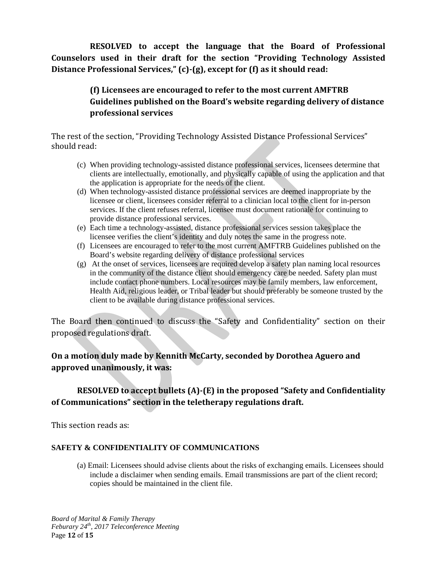**RESOLVED to accept the language that the Board of Professional Counselors used in their draft for the section "Providing Technology Assisted Distance Professional Services," (c)-(g), except for (f) as it should read:**

# **(f) Licensees are encouraged to refer to the most current AMFTRB Guidelines published on the Board's website regarding delivery of distance professional services**

The rest of the section, "Providing Technology Assisted Distance Professional Services" should read:

- (c) When providing technology-assisted distance professional services, licensees determine that clients are intellectually, emotionally, and physically capable of using the application and that the application is appropriate for the needs of the client.
- (d) When technology-assisted distance professional services are deemed inappropriate by the licensee or client, licensees consider referral to a clinician local to the client for in-person services. If the client refuses referral, licensee must document rationale for continuing to provide distance professional services.
- (e) Each time a technology-assisted, distance professional services session takes place the licensee verifies the client's identity and duly notes the same in the progress note.
- (f) Licensees are encouraged to refer to the most current AMFTRB Guidelines published on the Board's website regarding delivery of distance professional services
- (g) At the onset of services, licensees are required develop a safety plan naming local resources in the community of the distance client should emergency care be needed. Safety plan must include contact phone numbers. Local resources may be family members, law enforcement, Health Aid, religious leader, or Tribal leader but should preferably be someone trusted by the client to be available during distance professional services.

The Board then continued to discuss the "Safety and Confidentiality" section on their proposed regulations draft.

# **On a motion duly made by Kennith McCarty, seconded by Dorothea Aguero and approved unanimously, it was:**

# **RESOLVED to accept bullets (A)-(E) in the proposed "Safety and Confidentiality of Communications" section in the teletherapy regulations draft.**

This section reads as:

## **SAFETY & CONFIDENTIALITY OF COMMUNICATIONS**

(a) Email: Licensees should advise clients about the risks of exchanging emails. Licensees should include a disclaimer when sending emails. Email transmissions are part of the client record; copies should be maintained in the client file.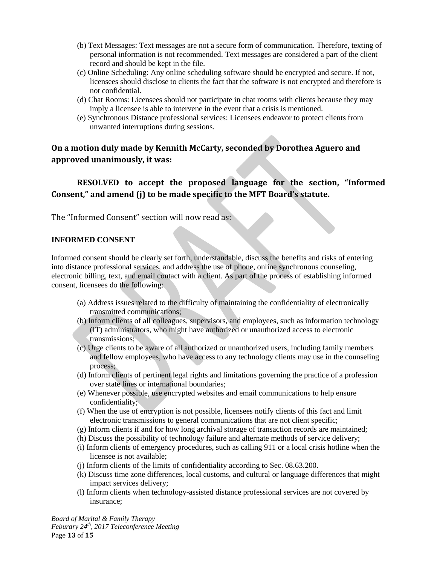- (b) Text Messages: Text messages are not a secure form of communication. Therefore, texting of personal information is not recommended. Text messages are considered a part of the client record and should be kept in the file.
- (c) Online Scheduling: Any online scheduling software should be encrypted and secure. If not, licensees should disclose to clients the fact that the software is not encrypted and therefore is not confidential.
- (d) Chat Rooms: Licensees should not participate in chat rooms with clients because they may imply a licensee is able to intervene in the event that a crisis is mentioned.
- (e) Synchronous Distance professional services: Licensees endeavor to protect clients from unwanted interruptions during sessions.

# **On a motion duly made by Kennith McCarty, seconded by Dorothea Aguero and approved unanimously, it was:**

# **RESOLVED to accept the proposed language for the section, "Informed Consent," and amend (j) to be made specific to the MFT Board's statute.**

The "Informed Consent" section will now read as:

#### **INFORMED CONSENT**

Informed consent should be clearly set forth, understandable, discuss the benefits and risks of entering into distance professional services, and address the use of phone, online synchronous counseling, electronic billing, text, and email contact with a client. As part of the process of establishing informed consent, licensees do the following:

- (a) Address issues related to the difficulty of maintaining the confidentiality of electronically transmitted communications;
- (b) Inform clients of all colleagues, supervisors, and employees, such as information technology (IT) administrators, who might have authorized or unauthorized access to electronic transmissions;
- (c) Urge clients to be aware of all authorized or unauthorized users, including family members and fellow employees, who have access to any technology clients may use in the counseling process;
- (d) Inform clients of pertinent legal rights and limitations governing the practice of a profession over state lines or international boundaries;
- (e) Whenever possible, use encrypted websites and email communications to help ensure confidentiality;
- (f) When the use of encryption is not possible, licensees notify clients of this fact and limit electronic transmissions to general communications that are not client specific;
- (g) Inform clients if and for how long archival storage of transaction records are maintained;
- (h) Discuss the possibility of technology failure and alternate methods of service delivery;
- (i) Inform clients of emergency procedures, such as calling 911 or a local crisis hotline when the licensee is not available;
- (j) Inform clients of the limits of confidentiality according to Sec. 08.63.200.
- (k) Discuss time zone differences, local customs, and cultural or language differences that might impact services delivery;
- (l) Inform clients when technology-assisted distance professional services are not covered by insurance;

*Board of Marital & Family Therapy Feburary 24th, 2017 Teleconference Meeting* Page **13** of **15**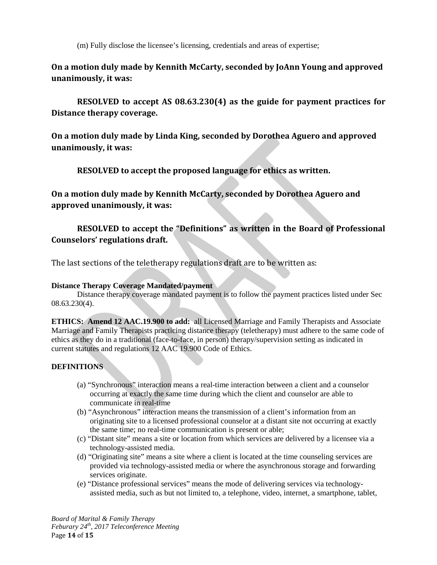(m) Fully disclose the licensee's licensing, credentials and areas of expertise;

**On a motion duly made by Kennith McCarty, seconded by JoAnn Young and approved unanimously, it was:**

**RESOLVED to accept AS 08.63.230(4) as the guide for payment practices for Distance therapy coverage.**

**On a motion duly made by Linda King, seconded by Dorothea Aguero and approved unanimously, it was:**

**RESOLVED to accept the proposed language for ethics as written.**

**On a motion duly made by Kennith McCarty, seconded by Dorothea Aguero and approved unanimously, it was:**

# **RESOLVED to accept the "Definitions" as written in the Board of Professional Counselors' regulations draft.**

The last sections of the teletherapy regulations draft are to be written as:

#### **Distance Therapy Coverage Mandated/payment**

Distance therapy coverage mandated payment is to follow the payment practices listed under Sec 08.63.230(4).

**ETHICS: Amend 12 AAC.19.900 to add:** all Licensed Marriage and Family Therapists and Associate Marriage and Family Therapists practicing distance therapy (teletherapy) must adhere to the same code of ethics as they do in a traditional (face-to-face, in person) therapy/supervision setting as indicated in current statutes and regulations 12 AAC 19.900 Code of Ethics.

## **DEFINITIONS**

- (a) "Synchronous" interaction means a real-time interaction between a client and a counselor occurring at exactly the same time during which the client and counselor are able to communicate in real-time
- (b) "Asynchronous" interaction means the transmission of a client's information from an originating site to a licensed professional counselor at a distant site not occurring at exactly the same time; no real-time communication is present or able;
- (c) "Distant site" means a site or location from which services are delivered by a licensee via a technology-assisted media.
- (d) "Originating site" means a site where a client is located at the time counseling services are provided via technology-assisted media or where the asynchronous storage and forwarding services originate.
- (e) "Distance professional services" means the mode of delivering services via technologyassisted media, such as but not limited to, a telephone, video, internet, a smartphone, tablet,